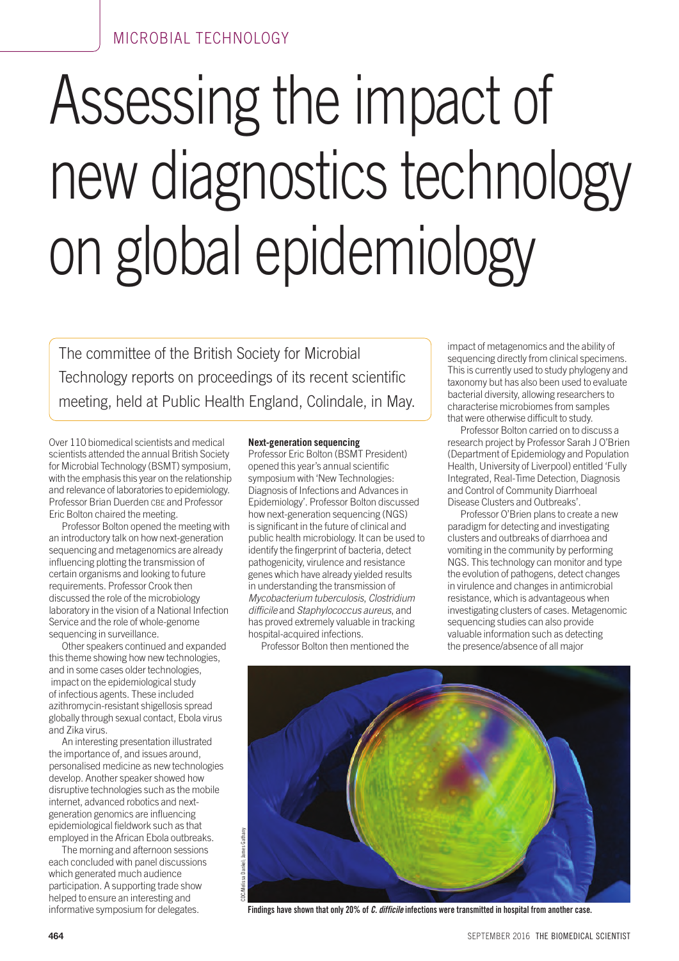# Assessing the impact of new diagnostics technology on global epidemiology

The committee of the British Society for Microbial Technology reports on proceedings of its recent scientific meeting, held at Public Health England, Colindale, in May.

Over 110 biomedical scientists and medical scientists attended the annual British Society for Microbial Technology (BSMT) symposium, with the emphasis this year on the relationship and relevance of laboratories to epidemiology. Professor Brian Duerden CBE and Professor Eric Bolton chaired the meeting.

Professor Bolton opened the meeting with an introductory talk on how next-generation sequencing and metagenomics are already influencing plotting the transmission of certain organisms and looking to future requirements. Professor Crook then discussed the role of the microbiology laboratory in the vision of a National Infection Service and the role of whole-genome sequencing in surveillance.

Other speakers continued and expanded this theme showing how new technologies, and in some cases older technologies, impact on the epidemiological study of infectious agents. These included azithromycin-resistant shigellosis spread globally through sexual contact, Ebola virus and Zika virus.

An interesting presentation illustrated the importance of, and issues around, personalised medicine as new technologies develop. Another speaker showed how disruptive technologies such as the mobile internet, advanced robotics and nextgeneration genomics are influencing epidemiological fieldwork such as that employed in the African Ebola outbreaks.

The morning and afternoon sessions each concluded with panel discussions which generated much audience participation. A supporting trade show helped to ensure an interesting and informative symposium for delegates.

### **Next-generation sequencing**

Professor Eric Bolton (BSMT President) opened this year's annual scientific symposium with 'New Technologies: Diagnosis of Infections and Advances in Epidemiology'. Professor Bolton discussed how next-generation sequencing (NGS) is significant in the future of clinical and public health microbiology. It can be used to identify the fingerprint of bacteria, detect pathogenicity, virulence and resistance genes which have already yielded results in understanding the transmission of *Mycobacterium tuberculosis*, *Clostridium difficile* and *Staphylococcus aureus*, and has proved extremely valuable in tracking hospital-acquired infections.

Professor Bolton then mentioned the

impact of metagenomics and the ability of sequencing directly from clinical specimens. This is currently used to study phylogeny and taxonomy but has also been used to evaluate bacterial diversity, allowing researchers to characterise microbiomes from samples that were otherwise difficult to study.

Professor Bolton carried on to discuss a research project by Professor Sarah J O'Brien (Department of Epidemiology and Population Health, University of Liverpool) entitled 'Fully Integrated, Real-Time Detection, Diagnosis and Control of Community Diarrhoeal Disease Clusters and Outbreaks'.

Professor O'Brien plans to create a new paradigm for detecting and investigating clusters and outbreaks of diarrhoea and vomiting in the community by performing NGS. This technology can monitor and type the evolution of pathogens, detect changes in virulence and changes in antimicrobial resistance, which is advantageous when investigating clusters of cases. Metagenomic sequencing studies can also provide valuable information such as detecting the presence/absence of all major



**Findings have shown that only 20% of** *C. difficile* **infections were transmitted in hospital from another case.**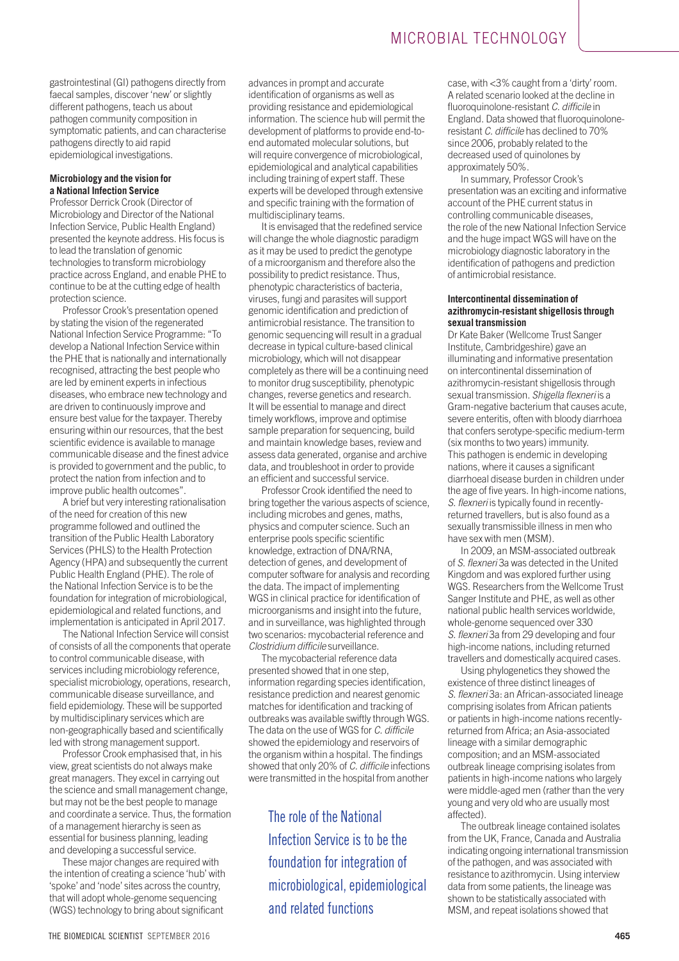gastrointestinal (GI) pathogens directly from faecal samples, discover 'new' or slightly different pathogens, teach us about pathogen community composition in symptomatic patients, and can characterise pathogens directly to aid rapid epidemiological investigations.

#### **Microbiology and the vision for a National Infection Service**

Professor Derrick Crook (Director of Microbiology and Director of the National Infection Service, Public Health England) presented the keynote address. His focus is to lead the translation of genomic technologies to transform microbiology practice across England, and enable PHE to continue to be at the cutting edge of health protection science.

Professor Crook's presentation opened by stating the vision of the regenerated National Infection Service Programme: "To develop a National Infection Service within the PHE that is nationally and internationally recognised, attracting the best people who are led by eminent experts in infectious diseases, who embrace new technology and are driven to continuously improve and ensure best value for the taxpayer. Thereby ensuring within our resources, that the best scientific evidence is available to manage communicable disease and the finest advice is provided to government and the public, to protect the nation from infection and to improve public health outcomes".

A brief but very interesting rationalisation of the need for creation of this new programme followed and outlined the transition of the Public Health Laboratory Services (PHLS) to the Health Protection Agency (HPA) and subsequently the current Public Health England (PHE). The role of the National Infection Service is to be the foundation for integration of microbiological, epidemiological and related functions, and implementation is anticipated in April 2017.

The National Infection Service will consist of consists of all the components that operate to control communicable disease, with services including microbiology reference, specialist microbiology, operations, research, communicable disease surveillance, and field epidemiology. These will be supported by multidisciplinary services which are non-geographically based and scientifically led with strong management support.

Professor Crook emphasised that, in his view, great scientists do not always make great managers. They excel in carrying out the science and small management change, but may not be the best people to manage and coordinate a service. Thus, the formation of a management hierarchy is seen as essential for business planning, leading and developing a successful service.

These major changes are required with the intention of creating a science 'hub' with 'spoke' and 'node' sites across the country, that will adopt whole-genome sequencing (WGS) technology to bring about significant

advances in prompt and accurate identification of organisms as well as providing resistance and epidemiological information. The science hub will permit the development of platforms to provide end-toend automated molecular solutions, but will require convergence of microbiological, epidemiological and analytical capabilities including training of expert staff. These experts will be developed through extensive and specific training with the formation of multidisciplinary teams.

It is envisaged that the redefined service will change the whole diagnostic paradigm as it may be used to predict the genotype of a microorganism and therefore also the possibility to predict resistance. Thus, phenotypic characteristics of bacteria, viruses, fungi and parasites will support genomic identification and prediction of antimicrobial resistance. The transition to genomic sequencing will result in a gradual decrease in typical culture-based clinical microbiology, which will not disappear completely as there will be a continuing need to monitor drug susceptibility, phenotypic changes, reverse genetics and research. It will be essential to manage and direct timely workflows, improve and optimise sample preparation for sequencing, build and maintain knowledge bases, review and assess data generated, organise and archive data, and troubleshoot in order to provide an efficient and successful service.

Professor Crook identified the need to bring together the various aspects of science, including microbes and genes, maths, physics and computer science. Such an enterprise pools specific scientific knowledge, extraction of DNA/RNA, detection of genes, and development of computer software for analysis and recording the data. The impact of implementing WGS in clinical practice for identification of microorganisms and insight into the future, and in surveillance, was highlighted through two scenarios: mycobacterial reference and *Clostridium difficile* surveillance.

The mycobacterial reference data presented showed that in one step, information regarding species identification, resistance prediction and nearest genomic matches for identification and tracking of outbreaks was available swiftly through WGS. The data on the use of WGS for *C. difficile* showed the epidemiology and reservoirs of the organism within a hospital. The findings showed that only 20% of *C. difficile* infections were transmitted in the hospital from another

The role of the National Infection Service is to be the foundation for integration of microbiological, epidemiological and related functions

case, with <3% caught from a 'dirty' room. A related scenario looked at the decline in fluoroquinolone-resistant *C. difficile* in England. Data showed that fluoroquinoloneresistant *C. difficile* has declined to 70% since 2006, probably related to the decreased used of quinolones by approximately 50%.

In summary, Professor Crook's presentation was an exciting and informative account of the PHE current status in controlling communicable diseases, the role of the new National Infection Service and the huge impact WGS will have on the microbiology diagnostic laboratory in the identification of pathogens and prediction of antimicrobial resistance.

#### **Intercontinental dissemination of azithromycin-resistant shigellosis through sexual transmission**

Dr Kate Baker (Wellcome Trust Sanger Institute, Cambridgeshire) gave an illuminating and informative presentation on intercontinental dissemination of azithromycin-resistant shigellosis through sexual transmission. *Shigella flexneri* is a Gram-negative bacterium that causes acute, severe enteritis, often with bloody diarrhoea that confers serotype-specific medium-term (six months to two years) immunity. This pathogen is endemic in developing nations, where it causes a significant diarrhoeal disease burden in children under the age of five years. In high-income nations, *S. flexneri* is typically found in recentlyreturned travellers, but is also found as a sexually transmissible illness in men who have sex with men (MSM).

In 2009, an MSM-associated outbreak of *S. flexneri* 3a was detected in the United Kingdom and was explored further using WGS. Researchers from the Wellcome Trust Sanger Institute and PHE, as well as other national public health services worldwide, whole-genome sequenced over 330 *S. flexneri* 3a from 29 developing and four high-income nations, including returned travellers and domestically acquired cases.

Using phylogenetics they showed the existence of three distinct lineages of *S. flexneri* 3a: an African-associated lineage comprising isolates from African patients or patients in high-income nations recentlyreturned from Africa; an Asia-associated lineage with a similar demographic composition; and an MSM-associated outbreak lineage comprising isolates from patients in high-income nations who largely were middle-aged men (rather than the very young and very old who are usually most affected).

The outbreak lineage contained isolates from the UK, France, Canada and Australia indicating ongoing international transmission of the pathogen, and was associated with resistance to azithromycin. Using interview data from some patients, the lineage was shown to be statistically associated with MSM, and repeat isolations showed that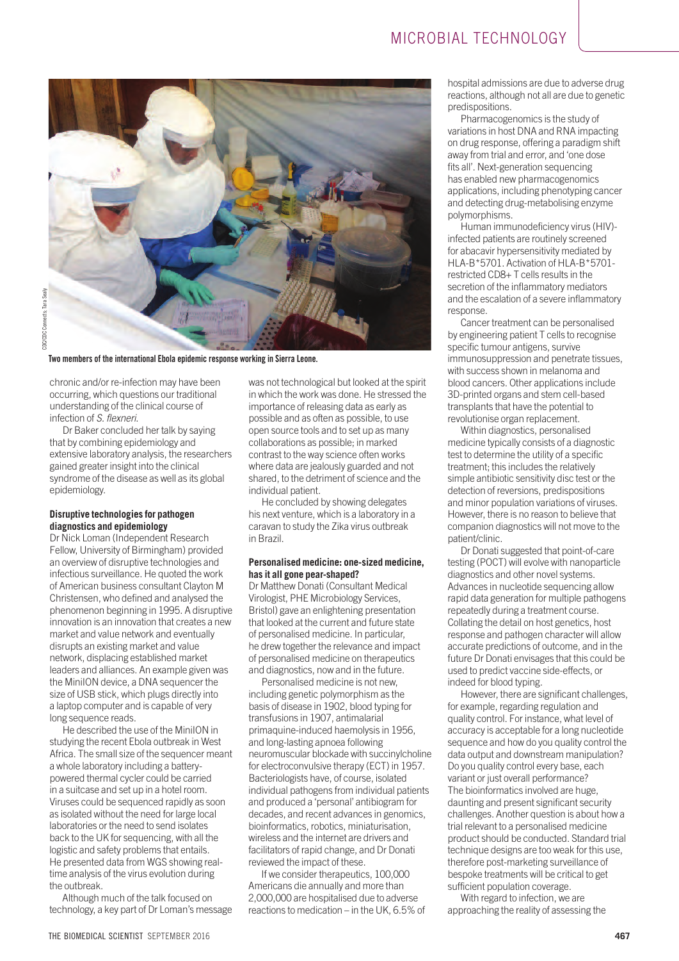

**Two members of the international Ebola epidemic response working in Sierra Leone.**

chronic and/or re-infection may have been occurring, which questions our traditional understanding of the clinical course of infection of *S. flexneri*.

Dr Baker concluded her talk by saying that by combining epidemiology and extensive laboratory analysis, the researchers gained greater insight into the clinical syndrome of the disease as well as its global epidemiology.

## **Disruptive technologies for pathogen diagnostics and epidemiology**

Dr Nick Loman (Independent Research Fellow, University of Birmingham) provided an overview of disruptive technologies and infectious surveillance. He quoted the work of American business consultant Clayton M Christensen, who defined and analysed the phenomenon beginning in 1995. A disruptive innovation is an innovation that creates a new market and value network and eventually disrupts an existing market and value network, displacing established market leaders and alliances. An example given was the MiniION device, a DNA sequencer the size of USB stick, which plugs directly into a laptop computer and is capable of very long sequence reads.

He described the use of the MiniION in studying the recent Ebola outbreak in West Africa. The small size of the sequencer meant a whole laboratory including a batterypowered thermal cycler could be carried in a suitcase and set up in a hotel room. Viruses could be sequenced rapidly as soon as isolated without the need for large local laboratories or the need to send isolates back to the UK for sequencing, with all the logistic and safety problems that entails. He presented data from WGS showing realtime analysis of the virus evolution during the outbreak.

Although much of the talk focused on technology, a key part of Dr Loman's message was not technological but looked at the spirit in which the work was done. He stressed the importance of releasing data as early as possible and as often as possible, to use open source tools and to set up as many collaborations as possible; in marked contrast to the way science often works where data are jealously guarded and not shared, to the detriment of science and the individual patient.

He concluded by showing delegates his next venture, which is a laboratory in a caravan to study the Zika virus outbreak in Brazil.

## **Personalised medicine: one-sized medicine, has it all gone pear-shaped?**

Dr Matthew Donati (Consultant Medical Virologist, PHE Microbiology Services, Bristol) gave an enlightening presentation that looked at the current and future state of personalised medicine. In particular, he drew together the relevance and impact of personalised medicine on therapeutics and diagnostics, now and in the future.

Personalised medicine is not new, including genetic polymorphism as the basis of disease in 1902, blood typing for transfusions in 1907, antimalarial primaquine-induced haemolysis in 1956, and long-lasting apnoea following neuromuscular blockade with succinylcholine for electroconvulsive therapy (ECT) in 1957. Bacteriologists have, of course, isolated individual pathogens from individual patients and produced a 'personal' antibiogram for decades, and recent advances in genomics, bioinformatics, robotics, miniaturisation, wireless and the internet are drivers and facilitators of rapid change, and Dr Donati reviewed the impact of these.

If we consider therapeutics, 100,000 Americans die annually and more than 2,000,000 are hospitalised due to adverse reactions to medication – in the UK, 6.5% of hospital admissions are due to adverse drug reactions, although not all are due to genetic predispositions.

Pharmacogenomics is the study of variations in host DNA and RNA impacting on drug response, offering a paradigm shift away from trial and error, and 'one dose fits all'. Next-generation sequencing has enabled new pharmacogenomics applications, including phenotyping cancer and detecting drug-metabolising enzyme polymorphisms.

Human immunodeficiency virus (HIV) infected patients are routinely screened for abacavir hypersensitivity mediated by HLA-B\*5701. Activation of HLA-B\*5701 restricted CD8+ T cells results in the secretion of the inflammatory mediators and the escalation of a severe inflammatory response.

Cancer treatment can be personalised by engineering patient T cells to recognise specific tumour antigens, survive immunosuppression and penetrate tissues, with success shown in melanoma and blood cancers. Other applications include 3D-printed organs and stem cell-based transplants that have the potential to revolutionise organ replacement.

Within diagnostics, personalised medicine typically consists of a diagnostic test to determine the utility of a specific treatment; this includes the relatively simple antibiotic sensitivity disc test or the detection of reversions, predispositions and minor population variations of viruses. However, there is no reason to believe that companion diagnostics will not move to the patient/clinic.

Dr Donati suggested that point-of-care testing (POCT) will evolve with nanoparticle diagnostics and other novel systems. Advances in nucleotide sequencing allow rapid data generation for multiple pathogens repeatedly during a treatment course. Collating the detail on host genetics, host response and pathogen character will allow accurate predictions of outcome, and in the future Dr Donati envisages that this could be used to predict vaccine side-effects, or indeed for blood typing.

However, there are significant challenges, for example, regarding regulation and quality control. For instance, what level of accuracy is acceptable for a long nucleotide sequence and how do you quality control the data output and downstream manipulation? Do you quality control every base, each variant or just overall performance? The bioinformatics involved are huge, daunting and present significant security challenges. Another question is about how a trial relevant to a personalised medicine product should be conducted. Standard trial technique designs are too weak for this use, therefore post-marketing surveillance of bespoke treatments will be critical to get sufficient population coverage.

With regard to infection, we are approaching the reality of assessing the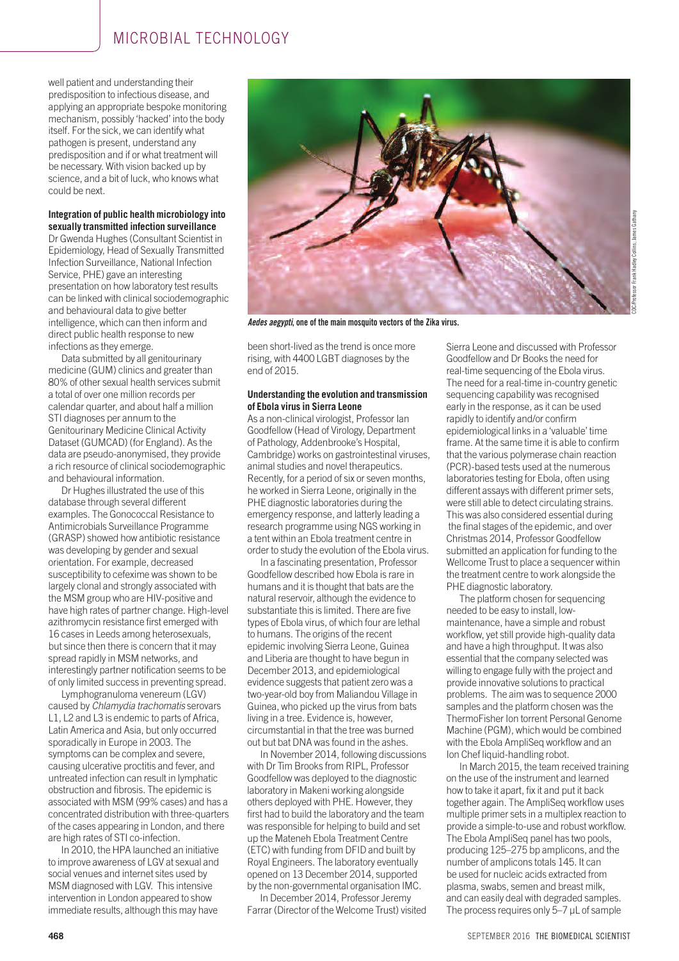well patient and understanding their predisposition to infectious disease, and applying an appropriate bespoke monitoring mechanism, possibly 'hacked' into the body itself. For the sick, we can identify what pathogen is present, understand any predisposition and if or what treatment will be necessary. With vision backed up by science, and a bit of luck, who knows what could be next.

#### **Integration of public health microbiology into sexually transmitted infection surveillance**

Dr Gwenda Hughes (Consultant Scientist in Epidemiology, Head of Sexually Transmitted Infection Surveillance, National Infection Service, PHE) gave an interesting presentation on how laboratory test results can be linked with clinical sociodemographic and behavioural data to give better intelligence, which can then inform and direct public health response to new infections as they emerge.

Data submitted by all genitourinary medicine (GUM) clinics and greater than 80% of other sexual health services submit a total of over one million records per calendar quarter, and about half a million STI diagnoses per annum to the Genitourinary Medicine Clinical Activity Dataset (GUMCAD) (for England). As the data are pseudo-anonymised, they provide a rich resource of clinical sociodemographic and behavioural information.

Dr Hughes illustrated the use of this database through several different examples. The Gonococcal Resistance to Antimicrobials Surveillance Programme (GRASP) showed how antibiotic resistance was developing by gender and sexual orientation. For example, decreased susceptibility to cefexime was shown to be largely clonal and strongly associated with the MSM group who are HIV-positive and have high rates of partner change. High-level azithromycin resistance first emerged with 16 cases in Leeds among heterosexuals, but since then there is concern that it may spread rapidly in MSM networks, and interestingly partner notification seems to be of only limited success in preventing spread.

Lymphogranuloma venereum (LGV) caused by *Chlamydia trachomatis* serovars L1, L2 and L3 is endemic to parts of Africa, Latin America and Asia, but only occurred sporadically in Europe in 2003. The symptoms can be complex and severe, causing ulcerative proctitis and fever, and untreated infection can result in lymphatic obstruction and fibrosis. The epidemic is associated with MSM (99% cases) and has a concentrated distribution with three-quarters of the cases appearing in London, and there are high rates of STI co-infection.

In 2010, the HPA launched an initiative to improve awareness of LGV at sexual and social venues and internet sites used by MSM diagnosed with LGV. This intensive intervention in London appeared to show immediate results, although this may have



CDC/Professor Frank Hadley Collins; James GathanyCollins: sager

*Aedes aegypti***, one of the main mosquito vectors of the Zika virus.** 

been short-lived as the trend is once more rising, with 4400 LGBT diagnoses by the end of 2015.

## **Understanding the evolution and transmission of Ebola virus in Sierra Leone**

As a non-clinical virologist, Professor Ian Goodfellow (Head of Virology, Department of Pathology, Addenbrooke's Hospital, Cambridge) works on gastrointestinal viruses, animal studies and novel therapeutics. Recently, for a period of six or seven months, he worked in Sierra Leone, originally in the PHE diagnostic laboratories during the emergency response, and latterly leading a research programme using NGS working in a tent within an Ebola treatment centre in order to study the evolution of the Ebola virus.

In a fascinating presentation, Professor Goodfellow described how Ebola is rare in humans and it is thought that bats are the natural reservoir, although the evidence to substantiate this is limited. There are five types of Ebola virus, of which four are lethal to humans. The origins of the recent epidemic involving Sierra Leone, Guinea and Liberia are thought to have begun in December 2013, and epidemiological evidence suggests that patient zero was a two-year-old boy from Maliandou Village in Guinea, who picked up the virus from bats living in a tree. Evidence is, however, circumstantial in that the tree was burned out but bat DNA was found in the ashes.

In November 2014, following discussions with Dr Tim Brooks from RIPL, Professor Goodfellow was deployed to the diagnostic laboratory in Makeni working alongside others deployed with PHE. However, they first had to build the laboratory and the team was responsible for helping to build and set up the Mateneh Ebola Treatment Centre (ETC) with funding from DFID and built by Royal Engineers. The laboratory eventually opened on 13 December 2014, supported by the non-governmental organisation IMC.

In December 2014, Professor Jeremy Farrar (Director of the Welcome Trust) visited Sierra Leone and discussed with Professor Goodfellow and Dr Books the need for real-time sequencing of the Ebola virus. The need for a real-time in-country genetic sequencing capability was recognised early in the response, as it can be used rapidly to identify and/or confirm epidemiological links in a 'valuable' time frame. At the same time it is able to confirm that the various polymerase chain reaction (PCR)-based tests used at the numerous laboratories testing for Ebola, often using different assays with different primer sets, were still able to detect circulating strains. This was also considered essential during the final stages of the epidemic, and over Christmas 2014, Professor Goodfellow submitted an application for funding to the Wellcome Trust to place a sequencer within the treatment centre to work alongside the PHE diagnostic laboratory.

The platform chosen for sequencing needed to be easy to install, lowmaintenance, have a simple and robust workflow, yet still provide high-quality data and have a high throughput. It was also essential that the company selected was willing to engage fully with the project and provide innovative solutions to practical problems. The aim was to sequence 2000 samples and the platform chosen was the ThermoFisher Ion torrent Personal Genome Machine (PGM), which would be combined with the Ebola AmpliSeq workflow and an Ion Chef liquid-handling robot.

In March 2015, the team received training on the use of the instrument and learned how to take it apart, fix it and put it back together again. The AmpliSeq workflow uses multiple primer sets in a multiplex reaction to provide a simple-to-use and robust workflow. The Ebola AmpliSeq panel has two pools, producing 125–275 bp amplicons, and the number of amplicons totals 145. It can be used for nucleic acids extracted from plasma, swabs, semen and breast milk, and can easily deal with degraded samples. The process requires only 5–7 µL of sample